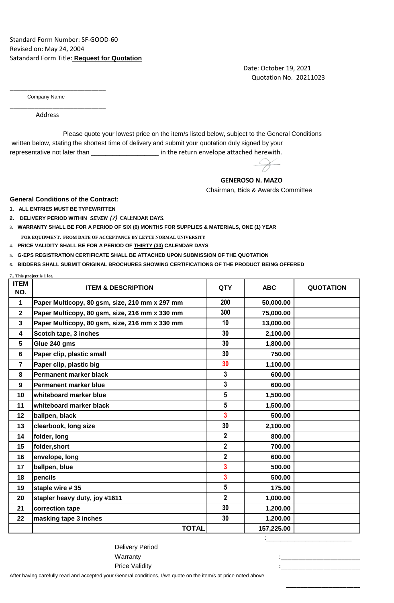## Standard Form Number: SF-GOOD-60 Revised on: May 24, 2004 Satandard Form Title: **Request for Quotation**

 Date: October 19, 2021 Quotation No. 20211023

Company Name

\_\_\_\_\_\_\_\_\_\_\_\_\_\_\_\_\_\_\_\_\_\_\_\_\_\_\_

\_\_\_\_\_\_\_\_\_\_\_\_\_\_\_\_\_\_\_\_\_\_\_\_\_\_\_

Address

 written below, stating the shortest time of delivery and submit your quotation duly signed by your representative not later than \_\_\_\_\_\_\_\_\_\_\_\_\_\_\_\_\_\_\_\_\_\_\_\_ in the return envelope attached herewith. Please quote your lowest price on the item/s listed below, subject to the General Conditions

## **GENEROSO N. MAZO**

Chairman, Bids & Awards Committee

**General Conditions of the Contract:**

- **1. ALL ENTRIES MUST BE TYPEWRITTEN**
- **2. DELIVERY PERIOD WITHIN** *SEVEN (7)* CALENDAR DAYS.
- **3. WARRANTY SHALL BE FOR A PERIOD OF SIX (6) MONTHS FOR SUPPLIES & MATERIALS, ONE (1) YEAR FOR EQUIPMENT, FROM DATE OF ACCEPTANCE BY LEYTE NORMAL UNIVERSITY**
- **4. PRICE VALIDITY SHALL BE FOR A PERIOD OF THIRTY (30) CALENDAR DAYS**
- **5. G-EPS REGISTRATION CERTIFICATE SHALL BE ATTACHED UPON SUBMISSION OF THE QUOTATION**

**6. BIDDERS SHALL SUBMIT ORIGINAL BROCHURES SHOWING CERTIFICATIONS OF THE PRODUCT BEING OFFERED**

| 7 This project is 1 lot. |                                                |                |            |                  |
|--------------------------|------------------------------------------------|----------------|------------|------------------|
| <b>ITEM</b><br>NO.       | <b>ITEM &amp; DESCRIPTION</b>                  | <b>QTY</b>     | <b>ABC</b> | <b>QUOTATION</b> |
| $\mathbf{1}$             | Paper Multicopy, 80 gsm, size, 210 mm x 297 mm | 200            | 50,000.00  |                  |
| $\mathbf{2}$             | Paper Multicopy, 80 gsm, size, 216 mm x 330 mm | 300            | 75,000.00  |                  |
| $\mathbf{3}$             | Paper Multicopy, 80 gsm, size, 216 mm x 330 mm | 10             | 13,000.00  |                  |
| 4                        | Scotch tape, 3 inches                          | 30             | 2,100.00   |                  |
| 5                        | Glue 240 gms                                   | 30             | 1,800.00   |                  |
| 6                        | Paper clip, plastic small                      | 30             | 750.00     |                  |
| $\overline{7}$           | Paper clip, plastic big                        | 30             | 1,100.00   |                  |
| 8                        | <b>Permanent marker black</b>                  | 3              | 600.00     |                  |
| 9                        | <b>Permanent marker blue</b>                   | 3              | 600.00     |                  |
| 10                       | whiteboard marker blue                         | 5              | 1,500.00   |                  |
| 11                       | whiteboard marker black                        | 5              | 1,500.00   |                  |
| 12                       | ballpen, black                                 | 3              | 500.00     |                  |
| 13                       | clearbook, long size                           | 30             | 2,100.00   |                  |
| 14                       | folder, long                                   | $\overline{2}$ | 800.00     |                  |
| 15                       | folder, short                                  | $\overline{2}$ | 700.00     |                  |
| 16                       | envelope, long                                 | $\overline{2}$ | 600.00     |                  |
| 17                       | ballpen, blue                                  | 3              | 500.00     |                  |
| 18                       | pencils                                        | 3              | 500.00     |                  |
| 19                       | staple wire #35                                | 5              | 175.00     |                  |
| 20                       | stapler heavy duty, joy #1611                  | $\overline{2}$ | 1,000.00   |                  |
| 21                       | correction tape                                | 30             | 1,200.00   |                  |
| 22                       | masking tape 3 inches                          | 30             | 1,200.00   |                  |
|                          | <b>TOTAL</b>                                   |                | 157,225.00 |                  |

:\_\_\_\_\_\_\_\_\_\_\_\_\_\_\_\_\_\_\_\_\_\_\_\_

 $\frac{1}{2}$  ,  $\frac{1}{2}$  ,  $\frac{1}{2}$  ,  $\frac{1}{2}$  ,  $\frac{1}{2}$  ,  $\frac{1}{2}$  ,  $\frac{1}{2}$  ,  $\frac{1}{2}$  ,  $\frac{1}{2}$  ,  $\frac{1}{2}$  ,  $\frac{1}{2}$  ,  $\frac{1}{2}$  ,  $\frac{1}{2}$  ,  $\frac{1}{2}$  ,  $\frac{1}{2}$  ,  $\frac{1}{2}$  ,  $\frac{1}{2}$  ,  $\frac{1}{2}$  ,  $\frac{1$ 

Price Validity and the state of the state of the state of the state of the state of the state of the state of t Delivery Period Warranty :\_\_\_\_\_\_\_\_\_\_\_\_\_\_\_\_\_\_\_\_\_\_\_\_

After having carefully read and accepted your General conditions, I/we quote on the item/s at price noted above